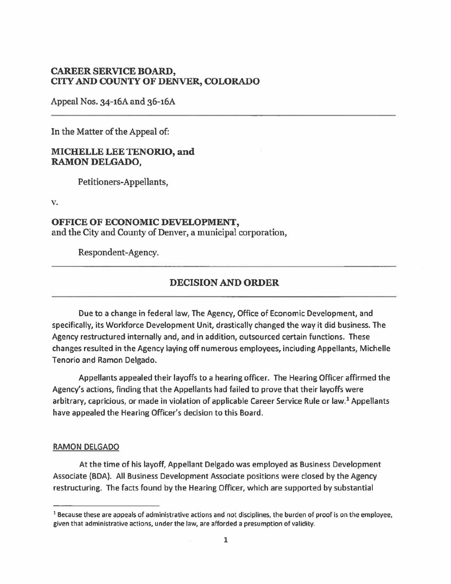#### **CAREER SERVICE BOARD, CITY AND COUNTY OF DENVER, COLORADO**

Appeal Nos. 34-16A and 36-16A

In the Matter of the Appeal of:

#### **MICHELLE LEE TENORIO, and RAMON DELGADO,**

Petitioners-Appellants,

v.

# **OFFICE OF ECONOMIC DEVELOPMENT,**  and the City and County of Denver, a municipal corporation,

Respondent-Agency.

# **DECISION AND ORDER**

Due to a change in federal law, The Agency, Office of Economic Development, and specifically, its Workforce Development Unit, drastically changed the way it did business. The Agency restructured internally and, and in addition, outsourced certain functions. These changes resulted in the Agency laying off numerous employees, including Appellants, Michelle Tenorio and Ramon Delgado.

Appellants appealed their layoffs to a hearing officer. The Hearing Officer affirmed the Agency's actions, finding that the Appellants had failed to prove that their layoffs were arbitrary, capricious, or made in violation of applicable Career Service Rule or law.<sup>1</sup> Appellants have appealed the Hearing Officer's decision to this Board.

#### **RAMON** DELGADO

At the time of his layoff, Appellant Delgado was employed as Business Development Associate (BDA). All Business Development Associate positions were closed by the Agency restructuring. The facts found by the Hearing Officer, which are supported by substantial

<sup>&</sup>lt;sup>1</sup> Because these are appeals of administrative actions and not disciplines, the burden of proof is on the employee, given that administrative actions, under the law, are afforded a presumption of validity.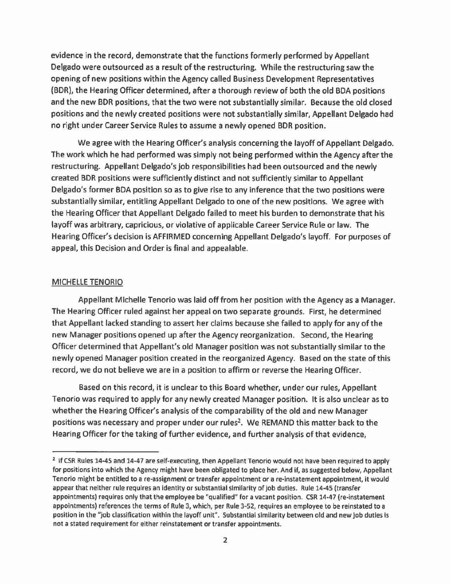evidence in the record, demonstrate that the functions formerly performed by Appellant Delgado were outsourced as a result of the restructuring. While the restructuring saw the opening of new positions within the Agency called Business Development Representatives (BDR), the Hearing Officer determined, after a thorough review of both the old BOA positions and the new BDR positions, that the two were not substantially similar. Because the old closed positions and the newly created positions were not substantially similar, Appellant Delgado had no right under Career Service Rules to assume a newly opened BDR position.

We agree with the Hearing Officer's analysis concerning the layoff of Appellant Delgado. The work which he had performed was simply not being performed within the Agency after the restructuring. Appellant Delgado's job responsibilities had been outsourced and the newly created BDR positions were sufficiently distinct and not sufficiently similar to Appellant Delgado's former BOA position so as to give rise to any inference that the two positions were substantially similar, entitling Appellant Delgado to one of the new positions. We agree with the Hearing Officer that Appellant Delgado failed to meet his burden to demonstrate that his layoff was arbitrary, capricious, or violative of applicable Career Service Rule or law. The Hearing Officer's decision is AFFIRMED concerning Appellant Delgado's layoff. For purposes of appeal, this Decision and Order is final and appealable.

#### MICHELLE TENORIO

Appellant Michelle Tenorio was laid off from her position with the Agency as a Manager. The Hearing Officer ruled against her appeal on two separate grounds. First, he determined that Appellant lacked standing to assert her claims because she failed to apply for any of the new Manager positions opened up after the Agency reorganization. Second, the Hearing Officer determined that Appellant's old Manager position was not substantially similar to the newly opened Manager position created in the reorganized Agency. Based on the state of this record, we do not believe we are in a position to affirm or reverse the Hearing Officer.

Based on this record, it is unclear to this Board whether, under our rules, Appellant Tenorio was required to apply for any newly created Manager position. It is also unclear as to whether the Hearing Officer's analysis of the comparability of the old and new Manager positions was necessary and proper under our rules<sup>2</sup>. We REMAND this matter back to the Hearing Officer for the taking of further evidence, and further analysis of that evidence,

<sup>&</sup>lt;sup>2</sup> If CSR Rules 14-45 and 14-47 are self-executing, then Appellant Tenorio would not have been required to apply for positions into which the Agency might have been obligated to place her. And if, as suggested below, Appellant Tenorio might be entitled to a re-assignment or transfer appointment or a re-instatement appointment, it would appear that neither rule requires an identity or substantial similarity of job duties. Rule 14-45 (transfer appointments) requires only that the employee be "qualified" for a vacant position. CSR 14-47 (re-instatement appointments) references the terms of Rule 3, which, per Rule 3-52, requires an employee to be reinstated to a position in the "job classification within the layoff unit". Substantial similarity between old and new job duties is not a stated requirement for either reinstatement or transfer appointments.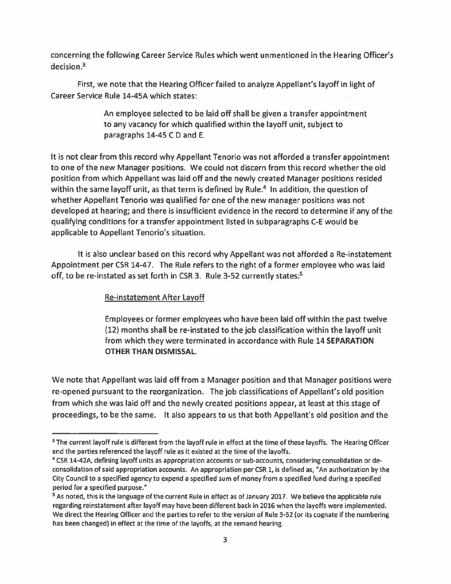concerning the following Career Service Rules which went unmentioned in the Hearing Officer's decision.<sup>3</sup>

First, we note that the Hearing Officer failed to analyze Appellant's layoff in light of Career Service Rule 14-4SA which states:

> An employee selected to be laid off shall be given a transfer appointment to any vacancy for which qualified within the layoff unit, subject to paragraphs 14-45 C D and E.

It is not clear from this record why Appellant Tenorio was not afforded a transfer appointment to one of the new Manager positions. We could not discern from this record whether the old position from which Appellant was laid off and the newly created Manager positions resided within the same layoff unit, as that term is defined by Rule.<sup>4</sup> In addition, the question of whether Appellant Tenorio was qualified for one of the new manager positions was not developed at hearing; and there is insufficient evidence in the record to determine if any of the qualifying conditions for a transfer appointment listed in subparagraphs C-E would be applicable to Appellant Tenorio's situation.

It is also unclear based on this record why Appellant was not afforded a Re-instatement Appointment per CSR 14-47. The Rule refers to the right of a former employee who was laid off, to be re-instated as set forth in CSR 3. Rule 3-52 currently states:5

# Re-instatement After Layoff

Employees or former employees who have been laid off within the past twelve (12) months shall be re-instated to the job classification within the layoff unit from which they were terminated in accordance with Rule 14 **SEPARATION OTHER THAN DISMISSAL** 

We note that Appellant was laid off from a Manager position and that Manager positions were re-opened pursuant to the reorganization. The job classifications of Appellant's old position from which she was laid off and the newly created positions appear, at least at this stage of proceedings, to be the same. It also appears to us that both Appellant's old position and the

<sup>&</sup>lt;sup>3</sup> The current layoff rule is different from the layoff rule in effect at the time of these layoffs. The Hearing Officer and the parties referenced the layoff rule as it existed at the time of the layoffs.<br><sup>4</sup> CSR 14-42A, defining layoff units as appropriation accounts or sub-accounts, considering consolidation or de-

consolidation of said appropriation accounts. An appropriation per CSR 1, is defined as, "An authorization by the City Council to a specified agency to expend a specified sum of money from a specified fund during a specified period for a specified purpose."

<sup>&</sup>lt;sup>5</sup> As noted, this is the language of the current Rule in effect as of January 2017. We believe the applicable rule regarding reinstatement after layoff may have been different back in 2016 when the layoffs were implemented. We direct the Hearing Officer and the parties to refer to the version of Rule 3-52 (or its cognate if the numbering has been changed) in effect at the time of the layoffs, at the remand hearing.